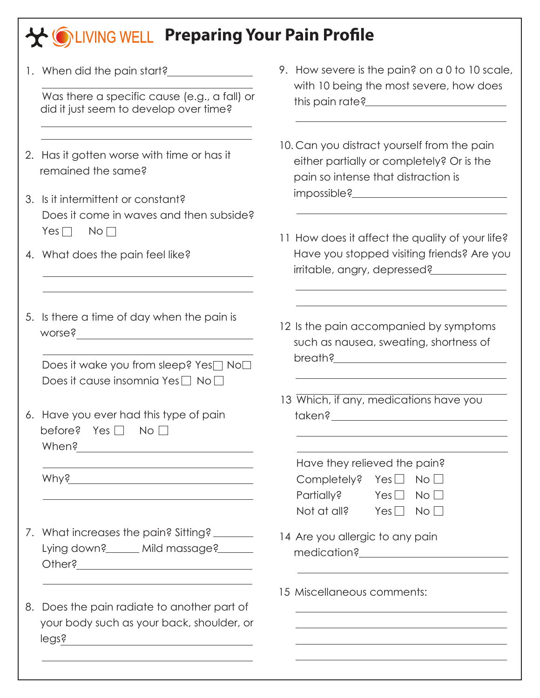## **Preparing Your Pain Profile**

|                                                                                                                        | 9. How severe is the pain? on a 0 to 10 scale,<br>with 10 being the most severe, how does                                                                                                                                                                               |
|------------------------------------------------------------------------------------------------------------------------|-------------------------------------------------------------------------------------------------------------------------------------------------------------------------------------------------------------------------------------------------------------------------|
| Was there a specific cause (e.g., a fall) or<br>did it just seem to develop over time?                                 |                                                                                                                                                                                                                                                                         |
| 2. Has it gotten worse with time or has it<br>remained the same?                                                       | 10. Can you distract yourself from the pain<br>either partially or completely? Or is the<br>pain so intense that distraction is                                                                                                                                         |
| 3. Is it intermittent or constant?<br>Does it come in waves and then subside?                                          |                                                                                                                                                                                                                                                                         |
| 4. What does the pain feel like?                                                                                       | 11 How does it affect the quality of your life?<br>Have you stopped visiting friends? Are you<br>irritable, angry, depressed?                                                                                                                                           |
| 5. Is there a time of day when the pain is                                                                             | 12 Is the pain accompanied by symptoms<br>such as nausea, sweating, shortness of                                                                                                                                                                                        |
| Does it wake you from sleep? Yes□ No□<br>Does it cause insomnia Yes $\Box$ No $\Box$                                   |                                                                                                                                                                                                                                                                         |
| 6. Have you ever had this type of pain<br>before? Yes $\Box$ No $\Box$                                                 | 13 Which, if any, medications have you                                                                                                                                                                                                                                  |
| <u> 1980 - Johann Stoff, deutscher Stoffen und der Stoffen und der Stoffen und der Stoffen und der Stoffen und der</u> | Have they relieved the pain?<br>Completely? Yes $\Box$ No $\Box$<br>Partially? Yes $\Box$ No $\Box$<br>Not at all? Yes $\Box$ No $\Box$                                                                                                                                 |
| 7. What increases the pain? Sitting?<br>Lying down?______ Mild massage?_______                                         | 14 Are you allergic to any pain                                                                                                                                                                                                                                         |
| 8. Does the pain radiate to another part of<br>your body such as your back, shoulder, or<br>legs?                      | 15 Miscellaneous comments:                                                                                                                                                                                                                                              |
|                                                                                                                        | Yes $\Box$<br>No <sub>1</sub><br>When?<br>the control of the control of the control of the control of the control of the control of the control of the control of the control of the control of the control of the control of the control of the control of the control |